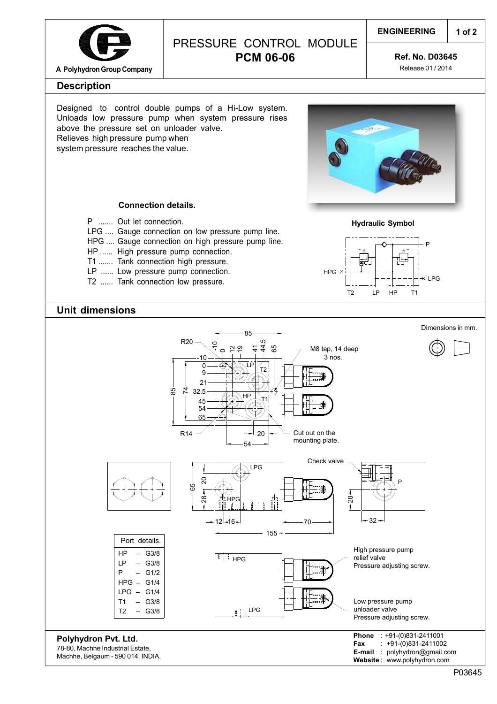

# PRESSURE CONTROL MODULE **PCM 06-06**

### **ENGINEERING**

**1 of 2**

**Ref. No. D03645**

Release 01 / 2014

### **Description**

Designed to control double pumps of a Hi-Low system. Unloads low pressure pump when system pressure rises above the pressure set on unloader valve. Relieves high pressure pump when system pressure reaches the value.



#### **Connection details.**

- P ....... Out let connection.
- LPG .... Gauge connection on low pressure pump line.
- HPG .... Gauge connection on high pressure pump line.
- HP ...... High pressure pump connection.
- T1 ....... Tank connection high pressure.
- LP ...... Low pressure pump connection.
- T2 ...... Tank connection low pressure.



## **Unit dimensions**